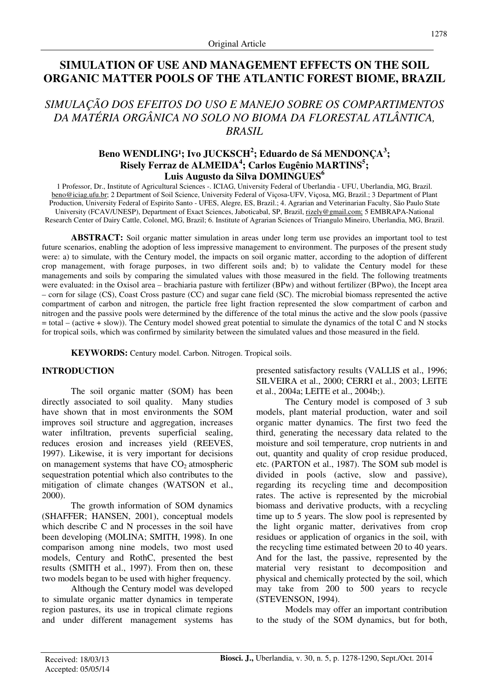# **SIMULATION OF USE AND MANAGEMENT EFFECTS ON THE SOIL ORGANIC MATTER POOLS OF THE ATLANTIC FOREST BIOME, BRAZIL**

# *SIMULAÇÃO DOS EFEITOS DO USO E MANEJO SOBRE OS COMPARTIMENTOS DA MATÉRIA ORGÂNICA NO SOLO NO BIOMA DA FLORESTAL ATLÂNTICA, BRASIL*

# **Beno WENDLING¹; Ivo JUCKSCH<sup>2</sup> ; Eduardo de Sá MENDONÇA<sup>3</sup> ; Risely Ferraz de ALMEIDA<sup>4</sup> ; Carlos Eugênio MARTINS<sup>5</sup> ; Luis Augusto da Silva DOMINGUES<sup>6</sup>**

1 Professor, Dr., Institute of Agricultural Sciences -. ICIAG, University Federal of Uberlandia - UFU, Uberlandia, MG, Brazil. beno@iciag.ufu.br; 2 Department of Soil Science, University Federal of Viçosa-UFV, Viçosa, MG, Brazil.; 3 Department of Plant Production, University Federal of Espirito Santo - UFES, Alegre, ES, Brazil.; 4. Agrarian and Veterinarian Faculty, São Paulo State University (FCAV/UNESP), Department of Exact Sciences, Jaboticabal, SP, Brazil, rizely@gmail.com; 5 EMBRAPA-National Research Center of Dairy Cattle, Colonel, MG, Brazil; 6. Institute of Agrarian Sciences of Triangulo Mineiro, Uberlandia, MG, Brazil.

**ABSTRACT:** Soil organic matter simulation in areas under long term use provides an important tool to test future scenarios, enabling the adoption of less impressive management to environment. The purposes of the present study were: a) to simulate, with the Century model, the impacts on soil organic matter, according to the adoption of different crop management, with forage purposes, in two different soils and; b) to validate the Century model for these managements and soils by comparing the simulated values with those measured in the field. The following treatments were evaluated: in the Oxisol area – brachiaria pasture with fertilizer (BPw) and without fertilizer (BPwo), the Incept area – corn for silage (CS), Coast Cross pasture (CC) and sugar cane field (SC). The microbial biomass represented the active compartment of carbon and nitrogen, the particle free light fraction represented the slow compartment of carbon and nitrogen and the passive pools were determined by the difference of the total minus the active and the slow pools (passive = total – (active + slow)). The Century model showed great potential to simulate the dynamics of the total C and N stocks for tropical soils, which was confirmed by similarity between the simulated values and those measured in the field.

**KEYWORDS:** Century model. Carbon. Nitrogen. Tropical soils.

# **INTRODUCTION**

The soil organic matter (SOM) has been directly associated to soil quality. Many studies have shown that in most environments the SOM improves soil structure and aggregation, increases water infiltration, prevents superficial sealing, reduces erosion and increases yield (REEVES, 1997). Likewise, it is very important for decisions on management systems that have  $CO<sub>2</sub>$  atmospheric sequestration potential which also contributes to the mitigation of climate changes (WATSON et al., 2000).

The growth information of SOM dynamics (SHAFFER; HANSEN, 2001), conceptual models which describe C and N processes in the soil have been developing (MOLINA; SMITH, 1998). In one comparison among nine models, two most used models, Century and RothC, presented the best results (SMITH et al., 1997). From then on, these two models began to be used with higher frequency.

Although the Century model was developed to simulate organic matter dynamics in temperate region pastures, its use in tropical climate regions and under different management systems has presented satisfactory results (VALLIS et al., 1996; SILVEIRA et al., 2000; CERRI et al., 2003; LEITE et al., 2004a; LEITE et al., 2004b;).

The Century model is composed of 3 sub models, plant material production, water and soil organic matter dynamics. The first two feed the third, generating the necessary data related to the moisture and soil temperature, crop nutrients in and out, quantity and quality of crop residue produced, etc. (PARTON et al., 1987). The SOM sub model is divided in pools (active, slow and passive), regarding its recycling time and decomposition rates. The active is represented by the microbial biomass and derivative products, with a recycling time up to 5 years. The slow pool is represented by the light organic matter, derivatives from crop residues or application of organics in the soil, with the recycling time estimated between 20 to 40 years. And for the last, the passive, represented by the material very resistant to decomposition and physical and chemically protected by the soil, which may take from 200 to 500 years to recycle (STEVENSON, 1994).

Models may offer an important contribution to the study of the SOM dynamics, but for both,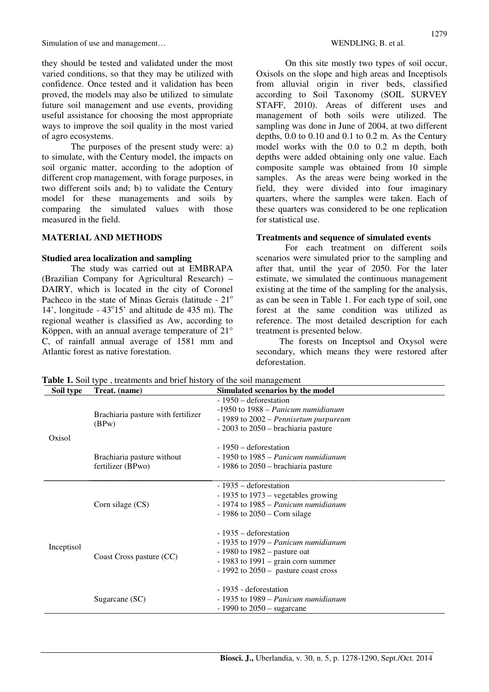they should be tested and validated under the most varied conditions, so that they may be utilized with confidence. Once tested and it validation has been proved, the models may also be utilized to simulate future soil management and use events, providing useful assistance for choosing the most appropriate ways to improve the soil quality in the most varied of agro ecosystems.

The purposes of the present study were: a) to simulate, with the Century model, the impacts on soil organic matter, according to the adoption of different crop management, with forage purposes, in two different soils and; b) to validate the Century model for these managements and soils by comparing the simulated values with those measured in the field.

## **MATERIAL AND METHODS**

#### **Studied area localization and sampling**

The study was carried out at EMBRAPA (Brazilian Company for Agricultural Research) – DAIRY, which is located in the city of Coronel Pacheco in the state of Minas Gerais (latitude -  $21^\circ$ ) 14', longitude  $-43^{\circ}15'$  and altitude de 435 m). The regional weather is classified as Aw, according to Köppen, with an annual average temperature of 21° C, of rainfall annual average of 1581 mm and Atlantic forest as native forestation.

On this site mostly two types of soil occur, Oxisols on the slope and high areas and Inceptisols from alluvial origin in river beds, classified according to Soil Taxonomy (SOIL SURVEY STAFF, 2010). Areas of different uses and management of both soils were utilized. The sampling was done in June of 2004, at two different depths, 0.0 to 0.10 and 0.1 to 0.2 m. As the Century model works with the 0.0 to 0.2 m depth, both depths were added obtaining only one value. Each composite sample was obtained from 10 simple samples. As the areas were being worked in the field, they were divided into four imaginary quarters, where the samples were taken. Each of these quarters was considered to be one replication for statistical use.

#### **Treatments and sequence of simulated events**

For each treatment on different soils scenarios were simulated prior to the sampling and after that, until the year of 2050. For the later estimate, we simulated the continuous management existing at the time of the sampling for the analysis, as can be seen in Table 1. For each type of soil, one forest at the same condition was utilized as reference. The most detailed description for each treatment is presented below.

The forests on Inceptsol and Oxysol were secondary, which means they were restored after deforestation.

| Soil type  | Treat. (name)                                   | Simulated scenarios by the model                                                                                                                                                             |
|------------|-------------------------------------------------|----------------------------------------------------------------------------------------------------------------------------------------------------------------------------------------------|
| Oxisol     | Brachiaria pasture with fertilizer<br>(BPw)     | - 1950 – deforestation<br>$-1950$ to $1988$ – Panicum numidianum<br>$-1989$ to $2002$ – Pennisetum purpureum<br>$-2003$ to $2050$ – brachiaria pasture                                       |
|            | Brachiaria pasture without<br>fertilizer (BPwo) | - 1950 – deforestation<br>- 1950 to 1985 – Panicum numidianum<br>- 1986 to 2050 – brachiaria pasture                                                                                         |
| Inceptisol | Corn silage (CS)                                | - 1935 – deforestation<br>- 1935 to 1973 – vegetables growing<br>$-1974$ to $1985$ – Panicum numidianum<br>$-1986$ to 2050 – Corn silage                                                     |
|            | Coast Cross pasture (CC)                        | - 1935 – deforestation<br>$-1935$ to 1979 – Panicum numidianum<br>$-1980$ to $1982$ – pasture oat<br>$-1983$ to $1991 - \text{grain corr}$ summer<br>$-1992$ to $2050 -$ pasture coast cross |
|            | Sugarcane (SC)                                  | - 1935 - deforestation<br>- 1935 to 1989 – Panicum numidianum<br>$-1990$ to 2050 – sugarcane                                                                                                 |

**Table 1.** Soil type , treatments and brief history of the soil management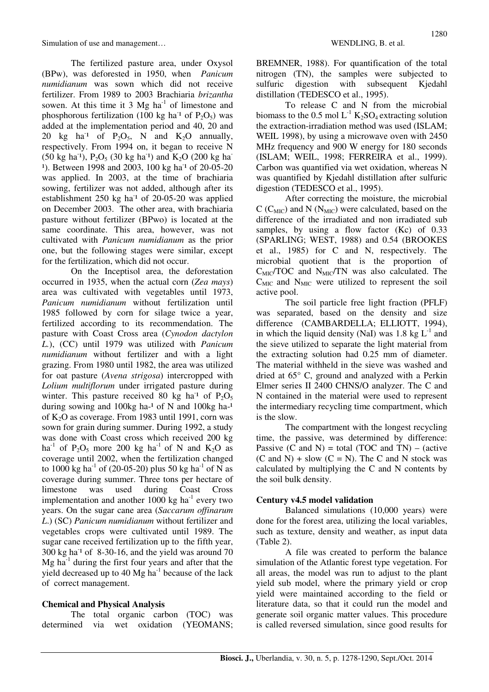The fertilized pasture area, under Oxysol (BPw), was deforested in 1950, when *Panicum numidianum* was sown which did not receive fertilizer. From 1989 to 2003 Brachiaria *brizantha* sowen. At this time it 3  $Mg$  ha<sup>-1</sup> of limestone and phosphorous fertilization (100 kg ha<sup>-1</sup> of  $P_2O_5$ ) was added at the implementation period and 40, 20 and 20 kg ha<sup>-1</sup> of P<sub>2</sub>O<sub>5</sub>, N and K<sub>2</sub>O annually, respectively. From 1994 on, it began to receive N  $(50 \text{ kg ha}^{-1})$ ,  $P_2O_5$   $(30 \text{ kg ha}^{-1})$  and  $K_2O$   $(200 \text{ kg ha}^{-1})$ <sup>1</sup>). Between 1998 and 2003, 100 kg ha<sup>-1</sup> of 20-05-20 was applied. In 2003, at the time of brachiaria sowing, fertilizer was not added, although after its establishment  $250$  kg ha<sup>-1</sup> of  $20$ -05-20 was applied on December 2003. The other area, with brachiaria pasture without fertilizer (BPwo) is located at the same coordinate. This area, however, was not cultivated with *Panicum numidianum* as the prior one, but the following stages were similar, except for the fertilization, which did not occur.

On the Inceptisol area, the deforestation occurred in 1935, when the actual corn (*Zea mays*) area was cultivated with vegetables until 1973, *Panicum numidianum* without fertilization until 1985 followed by corn for silage twice a year, fertilized according to its recommendation. The pasture with Coast Cross area (*Cynodon dactylon L.*), (CC) until 1979 was utilized with *Panicum numidianum* without fertilizer and with a light grazing. From 1980 until 1982, the area was utilized for oat pasture (*Avena strigosa*) intercropped with *Lolium multiflorum* under irrigated pasture during winter. This pasture received 80 kg ha<sup>-1</sup> of  $P_2O_5$ during sowing and  $100kg$  ha-<sup>1</sup> of N and  $100kg$  ha-<sup>1</sup> of  $K_2O$  as coverage. From 1983 until 1991, corn was sown for grain during summer. During 1992, a study was done with Coast cross which received 200 kg ha<sup>-1</sup> of P<sub>2</sub>O<sub>5</sub> more 200 kg ha<sup>-1</sup> of N and K<sub>2</sub>O as coverage until 2002, when the fertilization changed to 1000 kg ha<sup>-1</sup> of (20-05-20) plus 50 kg ha<sup>-1</sup> of N as coverage during summer. Three tons per hectare of limestone was used during Coast Cross implementation and another  $1000 \text{ kg } \text{ha}^{-1}$  every two years. On the sugar cane area (*Saccarum offinarum L*.) (SC) *Panicum numidianum* without fertilizer and vegetables crops were cultivated until 1989. The sugar cane received fertilization up to the fifth year,  $300 \text{ kg}$  ha<sup>-1</sup> of 8-30-16, and the yield was around 70  $Mg$  ha<sup>-1</sup> during the first four years and after that the yield decreased up to  $40$  Mg ha<sup>-1</sup> because of the lack of correct management.

# **Chemical and Physical Analysis**

The total organic carbon (TOC) was determined via wet oxidation (YEOMANS; BREMNER, 1988). For quantification of the total nitrogen (TN), the samples were subjected to sulfuric digestion with subsequent Kjedahl distillation (TEDESCO et al., 1995).

To release C and N from the microbial biomass to the 0.5 mol  $L^{-1} K_2SO_4$  extracting solution the extraction-irradiation method was used (ISLAM; WEIL 1998), by using a microwave oven with 2450 MHz frequency and 900 W energy for 180 seconds (ISLAM; WEIL, 1998; FERREIRA et al., 1999). Carbon was quantified via wet oxidation, whereas N was quantified by Kjedahl distillation after sulfuric digestion (TEDESCO et al., 1995).

After correcting the moisture, the microbial  $C$  (C<sub>MIC</sub>) and N (N<sub>MIC</sub>) were calculated, based on the difference of the irradiated and non irradiated sub samples, by using a flow factor (Kc) of 0.33 (SPARLING; WEST, 1988) and 0.54 (BROOKES et al., 1985) for C and N, respectively. The microbial quotient that is the proportion of  $C_{\text{MIC}}/TOC$  and  $N_{\text{MIC}}/TN$  was also calculated. The  $C<sub>MIC</sub>$  and  $N<sub>MIC</sub>$  were utilized to represent the soil active pool.

The soil particle free light fraction (PFLF) was separated, based on the density and size difference (CAMBARDELLA; ELLIOTT, 1994), in which the liquid density (NaI) was 1.8 kg  $L^{-1}$  and the sieve utilized to separate the light material from the extracting solution had 0.25 mm of diameter. The material withheld in the sieve was washed and dried at 65° C, ground and analyzed with a Perkin Elmer series II 2400 CHNS/O analyzer. The C and N contained in the material were used to represent the intermediary recycling time compartment, which is the slow.

The compartment with the longest recycling time, the passive, was determined by difference: Passive  $(C \text{ and } N) = \text{total} (TOC \text{ and } TN) - (\text{active})$  $(C \text{ and } N)$  + slow  $(C = N)$ . The C and N stock was calculated by multiplying the C and N contents by the soil bulk density.

## **Century v4.5 model validation**

Balanced simulations (10,000 years) were done for the forest area, utilizing the local variables, such as texture, density and weather, as input data (Table 2).

A file was created to perform the balance simulation of the Atlantic forest type vegetation. For all areas, the model was run to adjust to the plant yield sub model, where the primary yield or crop yield were maintained according to the field or literature data, so that it could run the model and generate soil organic matter values. This procedure is called reversed simulation, since good results for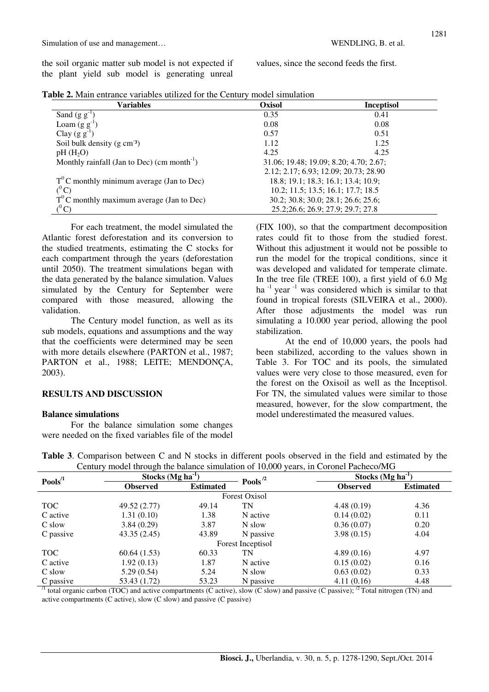the soil organic matter sub model is not expected if the plant yield sub model is generating unreal values, since the second feeds the first.

|  |  |  |  | <b>Table 2.</b> Main entrance variables utilized for the Century model simulation |
|--|--|--|--|-----------------------------------------------------------------------------------|
|  |  |  |  |                                                                                   |

| Variables                                               | <b>Oxisol</b> | <b>Inceptisol</b>                      |
|---------------------------------------------------------|---------------|----------------------------------------|
| Sand $(g g^{-1})$                                       | 0.35          | 0.41                                   |
| Loam $(g g^{-1})$                                       | 0.08          | 0.08                                   |
| Clay $(g g^{-1})$                                       | 0.57          | 0.51                                   |
| Soil bulk density $(g \text{ cm}^{-3})$                 | 1.12          | 1.25                                   |
| $pH(H_2O)$                                              | 4.25          | 4.25                                   |
| Monthly rainfall (Jan to Dec) (cm month <sup>-1</sup> ) |               | 31.06; 19.48; 19.09; 8.20; 4.70; 2.67; |
|                                                         |               | 2.12; 2.17; 6.93; 12.09; 20.73; 28.90  |
| $T^0$ C monthly minimum average (Jan to Dec)            |               | 18.8; 19.1; 18.3; 16.1; 13.4; 10.9;    |
| $(^0\mathrm{C})$                                        |               | 10.2; 11.5; 13.5; 16.1; 17.7; 18.5     |
| $T^{0}$ C monthly maximum average (Jan to Dec)          |               | 30.2; 30.8; 30.0; 28.1; 26.6; 25.6;    |
|                                                         |               | 25.2;26.6; 26.9; 27.9; 29.7; 27.8      |

For each treatment, the model simulated the Atlantic forest deforestation and its conversion to the studied treatments, estimating the C stocks for each compartment through the years (deforestation until 2050). The treatment simulations began with the data generated by the balance simulation. Values simulated by the Century for September were compared with those measured, allowing the validation.

The Century model function, as well as its sub models, equations and assumptions and the way that the coefficients were determined may be seen with more details elsewhere (PARTON et al., 1987; PARTON et al., 1988; LEITE; MENDONÇA, 2003).

## **RESULTS AND DISCUSSION**

#### **Balance simulations**

For the balance simulation some changes were needed on the fixed variables file of the model (FIX 100), so that the compartment decomposition rates could fit to those from the studied forest. Without this adjustment it would not be possible to run the model for the tropical conditions, since it was developed and validated for temperate climate. In the tree file (TREE 100), a first yield of  $6.0 \text{ Mg}$ ha  $^{-1}$  year  $^{-1}$  was considered which is similar to that found in tropical forests (SILVEIRA et al., 2000). After those adjustments the model was run simulating a 10.000 year period, allowing the pool stabilization.

At the end of 10,000 years, the pools had been stabilized, according to the values shown in Table 3. For TOC and its pools, the simulated values were very close to those measured, even for the forest on the Oxisoil as well as the Inceptisol. For TN, the simulated values were similar to those measured, however, for the slow compartment, the model underestimated the measured values.

| $Pools^{\prime 1}$             | Stocks $(Mg ha-1)$            |                  | Pools $^{\prime2}$   | Stocks $(Mg ha-1)$                                              |                  |  |
|--------------------------------|-------------------------------|------------------|----------------------|-----------------------------------------------------------------|------------------|--|
|                                | <b>Observed</b>               | <b>Estimated</b> |                      | <b>Observed</b>                                                 | <b>Estimated</b> |  |
|                                |                               |                  | <b>Forest Oxisol</b> |                                                                 |                  |  |
| <b>TOC</b>                     | 49.52 (2.77)                  | 49.14            | TN                   | 4.48(0.19)                                                      | 4.36             |  |
| C active                       | 1.31(0.10)                    | 1.38             | N active             | 0.14(0.02)                                                      | 0.11             |  |
| C slow                         | 3.84(0.29)                    | 3.87             | N slow               | 0.36(0.07)                                                      | 0.20             |  |
| C passive                      | 43.35(2.45)                   | 43.89            | N passive            | 3.98(0.15)                                                      | 4.04             |  |
|                                |                               |                  | Forest Inceptisol    |                                                                 |                  |  |
| <b>TOC</b>                     | 60.64(1.53)                   | 60.33            | TN                   | 4.89(0.16)                                                      | 4.97             |  |
| C active                       | 1.92(0.13)                    | 1.87             | N active             | 0.15(0.02)                                                      | 0.16             |  |
| C slow                         | 5.29(0.54)                    | 5.24             | N slow               | 0.63(0.02)                                                      | 0.33             |  |
| C passive<br>$\sqrt{1}$ $\sim$ | 53.43 (1.72)<br>$\sim$ $\sim$ | 53.23            | N passive            | 4.11(0.16)<br>$\cdot$ $\cdot$ $\cdot$ $\cdot$ $\cdot$<br>$\sim$ | 4.48<br>$-$      |  |

**Table 3**. Comparison between C and N stocks in different pools observed in the field and estimated by the Century model through the balance simulation of 10,000 years, in Coronel Pacheco/MG

total organic carbon (TOC) and active compartments (C active), slow (C slow) and passive (C passive);  $^2$  Total nitrogen (TN) and active compartments (C active), slow (C slow) and passive (C passive)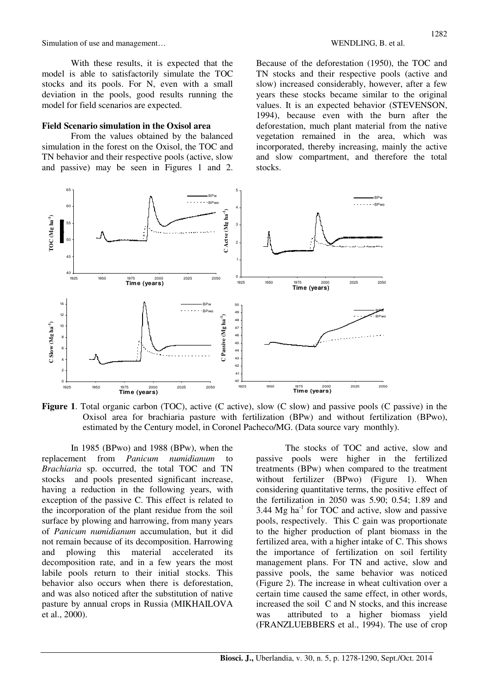With these results, it is expected that the model is able to satisfactorily simulate the TOC stocks and its pools. For N, even with a small deviation in the pools, good results running the model for field scenarios are expected.

#### **Field Scenario simulation in the Oxisol area**

From the values obtained by the balanced simulation in the forest on the Oxisol, the TOC and TN behavior and their respective pools (active, slow and passive) may be seen in Figures 1 and 2. Because of the deforestation (1950), the TOC and TN stocks and their respective pools (active and slow) increased considerably, however, after a few years these stocks became similar to the original values. It is an expected behavior (STEVENSON, 1994), because even with the burn after the deforestation, much plant material from the native vegetation remained in the area, which was incorporated, thereby increasing, mainly the active and slow compartment, and therefore the total stocks.



**Figure 1**. Total organic carbon (TOC), active (C active), slow (C slow) and passive pools (C passive) in the Oxisol area for brachiaria pasture with fertilization (BPw) and without fertilization (BPwo), estimated by the Century model, in Coronel Pacheco/MG. (Data source vary monthly).

In 1985 (BPwo) and 1988 (BPw), when the replacement from *Panicum numidianum* to *Brachiaria* sp. occurred, the total TOC and TN stocks and pools presented significant increase, having a reduction in the following years, with exception of the passive C. This effect is related to the incorporation of the plant residue from the soil surface by plowing and harrowing, from many years of *Panicum numidianum* accumulation, but it did not remain because of its decomposition. Harrowing and plowing this material accelerated its decomposition rate, and in a few years the most labile pools return to their initial stocks. This behavior also occurs when there is deforestation, and was also noticed after the substitution of native pasture by annual crops in Russia (MIKHAILOVA et al., 2000).

The stocks of TOC and active, slow and passive pools were higher in the fertilized treatments (BPw) when compared to the treatment without fertilizer (BPwo) (Figure 1). When considering quantitative terms, the positive effect of the fertilization in 2050 was 5.90; 0.54; 1.89 and 3.44  $Mg$  ha<sup>-1</sup> for TOC and active, slow and passive pools, respectively. This C gain was proportionate to the higher production of plant biomass in the fertilized area, with a higher intake of C. This shows the importance of fertilization on soil fertility management plans. For TN and active, slow and passive pools, the same behavior was noticed (Figure 2). The increase in wheat cultivation over a certain time caused the same effect, in other words, increased the soil C and N stocks, and this increase was attributed to a higher biomass yield (FRANZLUEBBERS et al., 1994). The use of crop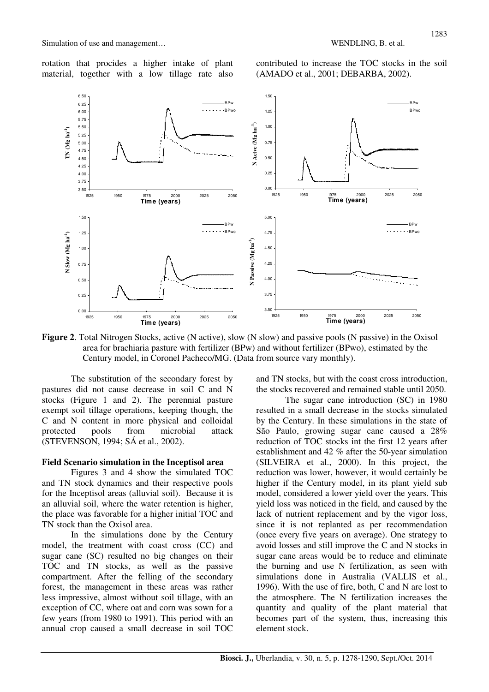rotation that procides a higher intake of plant material, together with a low tillage rate also

contributed to increase the TOC stocks in the soil (AMADO et al., 2001; DEBARBA, 2002).



**Figure 2.** Total Nitrogen Stocks, active (N active), slow (N slow) and passive pools (N passive) in the Oxisol area for brachiaria pasture with fertilizer (BPw) and without fertilizer (BPwo), estimated by the Century model, in Coronel Pacheco/MG. (Data from source vary monthly).

The substitution of the secondary forest by pastures did not cause decrease in soil C and N stocks (Figure 1 and 2). The perennial pasture exempt soil tillage operations, keeping though, the C and N content in more physical and colloidal protected pools from microbial attack (STEVENSON, 1994; SÁ et al., 2002).

## **Field Scenario simulation in the Inceptisol area**

Figures 3 and 4 show the simulated TOC and TN stock dynamics and their respective pools for the Inceptisol areas (alluvial soil). Because it is an alluvial soil, where the water retention is higher, the place was favorable for a higher initial TOC and TN stock than the Oxisol area.

In the simulations done by the Century model, the treatment with coast cross (CC) and sugar cane (SC) resulted no big changes on their TOC and TN stocks, as well as the passive compartment. After the felling of the secondary forest, the management in these areas was rather less impressive, almost without soil tillage, with an exception of CC, where oat and corn was sown for a few years (from 1980 to 1991). This period with an annual crop caused a small decrease in soil TOC

and TN stocks, but with the coast cross introduction, the stocks recovered and remained stable until 2050.

The sugar cane introduction (SC) in 1980 resulted in a small decrease in the stocks simulated by the Century. In these simulations in the state of São Paulo, growing sugar cane caused a 28% reduction of TOC stocks int the first 12 years after establishment and 42 % after the 50-year simulation (SILVEIRA et al., 2000). In this project, the reduction was lower, however, it would certainly be higher if the Century model, in its plant yield sub model, considered a lower yield over the years. This yield loss was noticed in the field, and caused by the lack of nutrient replacement and by the vigor loss, since it is not replanted as per recommendation (once every five years on average). One strategy to avoid losses and still improve the C and N stocks in sugar cane areas would be to reduce and eliminate the burning and use N fertilization, as seen with simulations done in Australia (VALLIS et al., 1996). With the use of fire, both, C and N are lost to the atmosphere. The N fertilization increases the quantity and quality of the plant material that becomes part of the system, thus, increasing this element stock.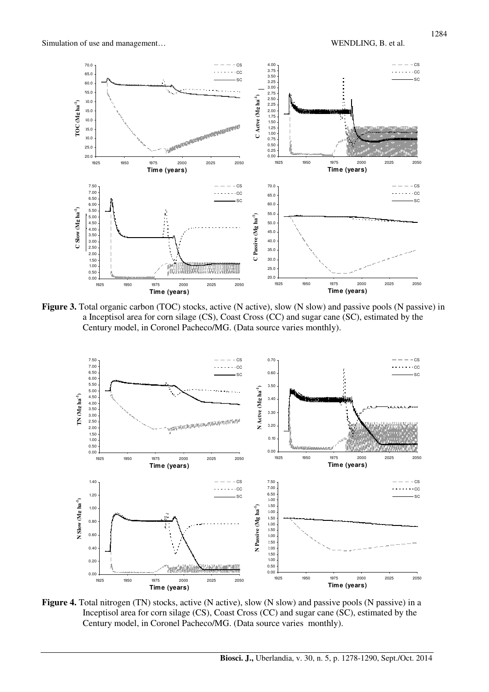

**Figure 3.** Total organic carbon (TOC) stocks, active (N active), slow (N slow) and passive pools (N passive) in a Inceptisol area for corn silage (CS), Coast Cross (CC) and sugar cane (SC), estimated by the Century model, in Coronel Pacheco/MG. (Data source varies monthly).



Figure 4. Total nitrogen (TN) stocks, active (N active), slow (N slow) and passive pools (N passive) in a Inceptisol area for corn silage (CS), Coast Cross (CC) and sugar cane (SC), estimated by the Century model, in Coronel Pacheco/MG. (Data source varies monthly).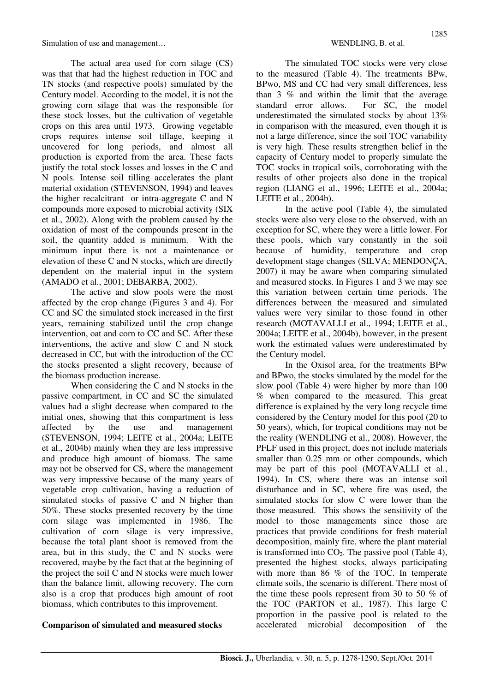The actual area used for corn silage (CS) was that that had the highest reduction in TOC and TN stocks (and respective pools) simulated by the Century model. According to the model, it is not the growing corn silage that was the responsible for these stock losses, but the cultivation of vegetable crops on this area until 1973. Growing vegetable crops requires intense soil tillage, keeping it uncovered for long periods, and almost all production is exported from the area. These facts justify the total stock losses and losses in the C and N pools. Intense soil tilling accelerates the plant material oxidation (STEVENSON, 1994) and leaves the higher recalcitrant or intra-aggregate C and N compounds more exposed to microbial activity (SIX et al., 2002). Along with the problem caused by the oxidation of most of the compounds present in the soil, the quantity added is minimum. With the minimum input there is not a maintenance or elevation of these C and N stocks, which are directly dependent on the material input in the system (AMADO et al., 2001; DEBARBA, 2002).

The active and slow pools were the most affected by the crop change (Figures 3 and 4). For CC and SC the simulated stock increased in the first years, remaining stabilized until the crop change intervention, oat and corn to CC and SC. After these interventions, the active and slow C and N stock decreased in CC, but with the introduction of the CC the stocks presented a slight recovery, because of the biomass production increase.

When considering the C and N stocks in the passive compartment, in CC and SC the simulated values had a slight decrease when compared to the initial ones, showing that this compartment is less affected by the use and management (STEVENSON, 1994; LEITE et al., 2004a; LEITE et al., 2004b) mainly when they are less impressive and produce high amount of biomass. The same may not be observed for CS, where the management was very impressive because of the many years of vegetable crop cultivation, having a reduction of simulated stocks of passive C and N higher than 50%. These stocks presented recovery by the time corn silage was implemented in 1986. The cultivation of corn silage is very impressive, because the total plant shoot is removed from the area, but in this study, the C and N stocks were recovered, maybe by the fact that at the beginning of the project the soil C and N stocks were much lower than the balance limit, allowing recovery. The corn also is a crop that produces high amount of root biomass, which contributes to this improvement.

# **Comparison of simulated and measured stocks**

The simulated TOC stocks were very close to the measured (Table 4). The treatments BPw, BPwo, MS and CC had very small differences, less than 3 % and within the limit that the average standard error allows. For SC, the model underestimated the simulated stocks by about 13% in comparison with the measured, even though it is not a large difference, since the soil TOC variability is very high. These results strengthen belief in the capacity of Century model to properly simulate the TOC stocks in tropical soils, corroborating with the results of other projects also done in the tropical region (LIANG et al., 1996; LEITE et al., 2004a; LEITE et al., 2004b).

In the active pool (Table 4), the simulated stocks were also very close to the observed, with an exception for SC, where they were a little lower. For these pools, which vary constantly in the soil because of humidity, temperature and crop development stage changes (SILVA; MENDONÇA, 2007) it may be aware when comparing simulated and measured stocks. In Figures 1 and 3 we may see this variation between certain time periods. The differences between the measured and simulated values were very similar to those found in other research (MOTAVALLI et al., 1994; LEITE et al., 2004a; LEITE et al., 2004b), however, in the present work the estimated values were underestimated by the Century model.

In the Oxisol area, for the treatments BPw and BPwo, the stocks simulated by the model for the slow pool (Table 4) were higher by more than 100 % when compared to the measured. This great difference is explained by the very long recycle time considered by the Century model for this pool (20 to 50 years), which, for tropical conditions may not be the reality (WENDLING et al., 2008). However, the PFLF used in this project, does not include materials smaller than 0.25 mm or other compounds, which may be part of this pool (MOTAVALLI et al., 1994). In CS, where there was an intense soil disturbance and in SC, where fire was used, the simulated stocks for slow C were lower than the those measured. This shows the sensitivity of the model to those managements since those are practices that provide conditions for fresh material decomposition, mainly fire, where the plant material is transformed into  $CO<sub>2</sub>$ . The passive pool (Table 4), presented the highest stocks, always participating with more than 86 % of the TOC. In temperate climate soils, the scenario is different. There most of the time these pools represent from 30 to 50 % of the TOC (PARTON et al., 1987). This large C proportion in the passive pool is related to the accelerated microbial decomposition of the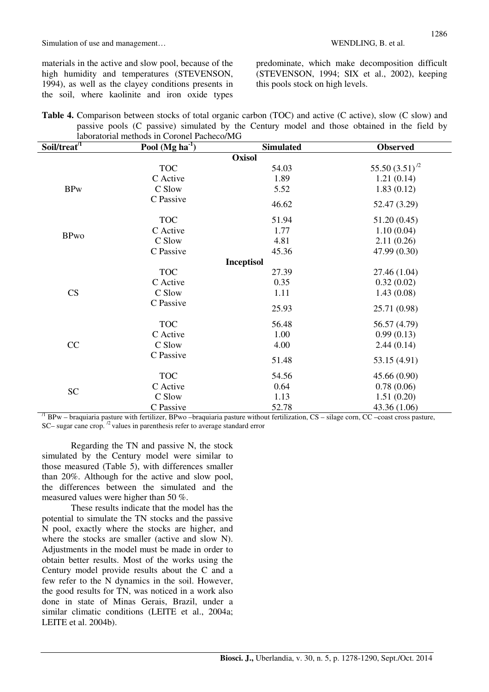materials in the active and slow pool, because of the high humidity and temperatures (STEVENSON, 1994), as well as the clayey conditions presents in the soil, where kaolinite and iron oxide types

predominate, which make decomposition difficult (STEVENSON, 1994; SIX et al., 2002), keeping this pools stock on high levels.

| Table 4. Comparison between stocks of total organic carbon (TOC) and active (C active), slow (C slow) and |  |
|-----------------------------------------------------------------------------------------------------------|--|
| passive pools (C passive) simulated by the Century model and those obtained in the field by               |  |
| laboratorial methods in Coronel Pacheco/MG                                                                |  |

| Soil/treat <sup>/1</sup> | Pool (Mg ha $\overline{1}$ ) | <b>Simulated</b>  | <b>Observed</b>    |
|--------------------------|------------------------------|-------------------|--------------------|
|                          |                              | <b>Oxisol</b>     |                    |
|                          | <b>TOC</b>                   | 54.03             | 55.50 $(3.51)^{2}$ |
|                          | C Active                     | 1.89              | 1.21(0.14)         |
| <b>BPw</b>               | C Slow                       | 5.52              | 1.83(0.12)         |
|                          | C Passive                    | 46.62             | 52.47 (3.29)       |
|                          | <b>TOC</b>                   | 51.94             | 51.20(0.45)        |
|                          | C Active                     | 1.77              | 1.10(0.04)         |
| <b>BPwo</b>              | C Slow                       | 4.81              | 2.11(0.26)         |
|                          | C Passive                    | 45.36             | 47.99 (0.30)       |
|                          |                              | <b>Inceptisol</b> |                    |
|                          | <b>TOC</b>                   | 27.39             | 27.46 (1.04)       |
|                          | C Active                     | 0.35              | 0.32(0.02)         |
| <b>CS</b>                | C Slow                       | 1.11              | 1.43(0.08)         |
|                          | C Passive                    | 25.93             | 25.71 (0.98)       |
|                          | <b>TOC</b>                   | 56.48             | 56.57 (4.79)       |
|                          | C Active                     | 1.00              | 0.99(0.13)         |
| CC                       | C Slow                       | 4.00              | 2.44(0.14)         |
|                          | C Passive                    | 51.48             | 53.15 (4.91)       |
|                          | <b>TOC</b>                   | 54.56             | 45.66(0.90)        |
|                          | C Active                     | 0.64              | 0.78(0.06)         |
| <b>SC</b>                | C Slow                       | 1.13              | 1.51(0.20)         |
|                          | C Passive                    | 52.78             | 43.36 (1.06)       |

 $^{11}$  BPw – braquiaria pasture with fertilizer, BPwo – braquiaria pasture without fertilization, CS – silage corn, CC – coast cross pasture,  $SC$ – sugar cane crop.  $\frac{1}{2}$  values in parenthesis refer to average standard error

Regarding the TN and passive N, the stock simulated by the Century model were similar to those measured (Table 5), with differences smaller than 20%. Although for the active and slow pool, the differences between the simulated and the measured values were higher than 50 %.

These results indicate that the model has the potential to simulate the TN stocks and the passive N pool, exactly where the stocks are higher, and where the stocks are smaller (active and slow N). Adjustments in the model must be made in order to obtain better results. Most of the works using the Century model provide results about the C and a few refer to the N dynamics in the soil. However, the good results for TN, was noticed in a work also done in state of Minas Gerais, Brazil, under a similar climatic conditions (LEITE et al., 2004a; LEITE et al. 2004b).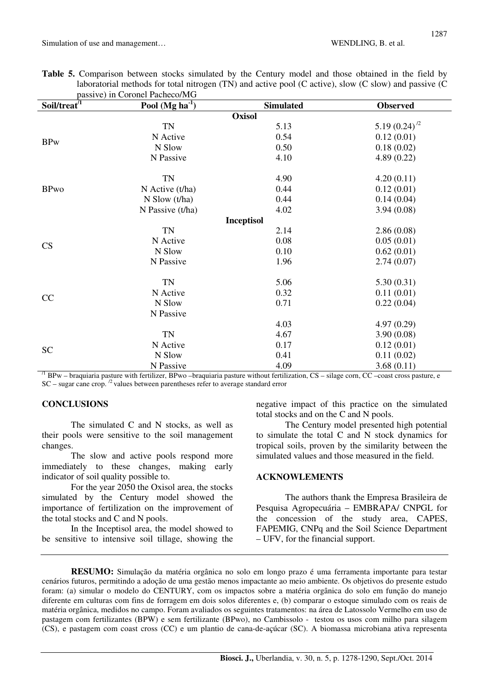| <b>Table 5.</b> Comparison between stocks simulated by the Century model and those obtained in the field by |  |  |  |  |  |  |
|-------------------------------------------------------------------------------------------------------------|--|--|--|--|--|--|
| laboratorial methods for total nitrogen (TN) and active pool (C active), slow (C slow) and passive (C       |  |  |  |  |  |  |
| passive) in Coronel Pacheco/MG                                                                              |  |  |  |  |  |  |

| Soil/treat <sup>/T</sup> | Pool $(Mg ha-1)$   | <b>Simulated</b>  | <b>Observed</b>   |
|--------------------------|--------------------|-------------------|-------------------|
|                          |                    | <b>Oxisol</b>     |                   |
|                          | TN                 | 5.13              | 5.19 $(0.24)^{2}$ |
|                          | N Active           | 0.54              | 0.12(0.01)        |
| <b>BPw</b>               | N Slow             | 0.50              | 0.18(0.02)        |
|                          | N Passive          | 4.10              | 4.89(0.22)        |
|                          | TN                 | 4.90              | 4.20(0.11)        |
| <b>BPwo</b>              | $N$ Active (t/ha)  | 0.44              | 0.12(0.01)        |
|                          | $N$ Slow (t/ha)    | 0.44              | 0.14(0.04)        |
|                          | N Passive $(t/ha)$ | 4.02              | 3.94(0.08)        |
|                          |                    | <b>Inceptisol</b> |                   |
|                          | TN                 | 2.14              | 2.86(0.08)        |
| CS                       | N Active           | 0.08              | 0.05(0.01)        |
|                          | N Slow             | 0.10              | 0.62(0.01)        |
|                          | N Passive          | 1.96              | 2.74(0.07)        |
|                          | <b>TN</b>          | 5.06              | 5.30(0.31)        |
| CC                       | N Active           | 0.32              | 0.11(0.01)        |
|                          | N Slow             | 0.71              | 0.22(0.04)        |
|                          | N Passive          |                   |                   |
|                          |                    | 4.03              | 4.97(0.29)        |
|                          | TN                 | 4.67              | 3.90(0.08)        |
| <b>SC</b>                | N Active           | 0.17              | 0.12(0.01)        |
|                          | N Slow             | 0.41              | 0.11(0.02)        |
|                          | N Passive          | 4.09              | 3.68(0.11)        |

 $^{11}$  BPw – braquiaria pasture with fertilizer, BPwo – braquiaria pasture without fertilization, CS – silage corn, CC –coast cross pasture, e SC – sugar cane crop. <sup>/2</sup> values between parentheses refer to average standard error

# **CONCLUSIONS**

The simulated C and N stocks, as well as their pools were sensitive to the soil management changes.

The slow and active pools respond more immediately to these changes, making early indicator of soil quality possible to.

For the year 2050 the Oxisol area, the stocks simulated by the Century model showed the importance of fertilization on the improvement of the total stocks and C and N pools.

In the Inceptisol area, the model showed to be sensitive to intensive soil tillage, showing the negative impact of this practice on the simulated total stocks and on the C and N pools.

The Century model presented high potential to simulate the total C and N stock dynamics for tropical soils, proven by the similarity between the simulated values and those measured in the field.

#### **ACKNOWLEMENTS**

The authors thank the Empresa Brasileira de Pesquisa Agropecuária – EMBRAPA/ CNPGL for the concession of the study area, CAPES, FAPEMIG, CNPq and the Soil Science Department – UFV, for the financial support.

**RESUMO:** Simulação da matéria orgânica no solo em longo prazo é uma ferramenta importante para testar cenários futuros, permitindo a adoção de uma gestão menos impactante ao meio ambiente. Os objetivos do presente estudo foram: (a) simular o modelo do CENTURY, com os impactos sobre a matéria orgânica do solo em função do manejo diferente em culturas com fins de forragem em dois solos diferentes e, (b) comparar o estoque simulado com os reais de matéria orgânica, medidos no campo. Foram avaliados os seguintes tratamentos: na área de Latossolo Vermelho em uso de pastagem com fertilizantes (BPW) e sem fertilizante (BPwo), no Cambissolo - testou os usos com milho para silagem (CS), e pastagem com coast cross (CC) e um plantio de cana-de-açúcar (SC). A biomassa microbiana ativa representa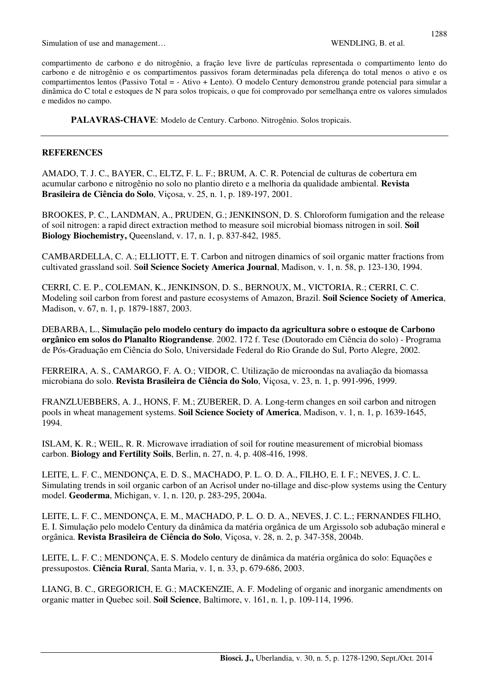compartimento de carbono e do nitrogênio, a fração leve livre de partículas representada o compartimento lento do carbono e de nitrogênio e os compartimentos passivos foram determinadas pela diferença do total menos o ativo e os compartimentos lentos (Passivo Total = - Ativo + Lento). O modelo Century demonstrou grande potencial para simular a dinâmica do C total e estoques de N para solos tropicais, o que foi comprovado por semelhança entre os valores simulados e medidos no campo.

**PALAVRAS-CHAVE**: Modelo de Century. Carbono. Nitrogênio. Solos tropicais.

# **REFERENCES**

AMADO, T. J. C., BAYER, C., ELTZ, F. L. F.; BRUM, A. C. R. Potencial de culturas de cobertura em acumular carbono e nitrogênio no solo no plantio direto e a melhoria da qualidade ambiental. **Revista Brasileira de Ciência do Solo**, Viçosa, v. 25, n. 1, p. 189-197, 2001.

BROOKES, P. C., LANDMAN, A., PRUDEN, G.; JENKINSON, D. S. Chloroform fumigation and the release of soil nitrogen: a rapid direct extraction method to measure soil microbial biomass nitrogen in soil. **Soil Biology Biochemistry,** Queensland, v. 17, n. 1, p. 837-842, 1985.

CAMBARDELLA, C. A.; ELLIOTT, E. T. Carbon and nitrogen dinamics of soil organic matter fractions from cultivated grassland soil. S**oil Science Society America Journal**, Madison, v. 1, n. 58, p. 123-130, 1994.

CERRI, C. E. P., COLEMAN, K., JENKINSON, D. S., BERNOUX, M., VICTORIA, R.; CERRI, C. C. Modeling soil carbon from forest and pasture ecosystems of Amazon, Brazil. **Soil Science Society of America**, Madison, v. 67, n. 1, p. 1879-1887, 2003.

DEBARBA, L., **Simulação pelo modelo century do impacto da agricultura sobre o estoque de Carbono orgânico em solos do Planalto Riograndense**. 2002. 172 f. Tese (Doutorado em Ciência do solo) - Programa de Pós-Graduação em Ciência do Solo, Universidade Federal do Rio Grande do Sul, Porto Alegre, 2002.

FERREIRA, A. S., CAMARGO, F. A. O.; VIDOR, C. Utilização de microondas na avaliação da biomassa microbiana do solo. **Revista Brasileira de Ciência do Solo**, Viçosa, v. 23, n. 1, p. 991-996, 1999.

FRANZLUEBBERS, A. J., HONS, F. M.; ZUBERER, D. A. Long-term changes en soil carbon and nitrogen pools in wheat management systems. **Soil Science Society of America**, Madison, v. 1, n. 1, p. 1639-1645, 1994.

ISLAM, K. R.; WEIL, R. R. Microwave irradiation of soil for routine measurement of microbial biomass carbon. **Biology and Fertility Soils**, Berlin, n. 27, n. 4, p. 408-416, 1998.

LEITE, L. F. C., MENDONÇA, E. D. S., MACHADO, P. L. O. D. A., FILHO, E. I. F.; NEVES, J. C. L. Simulating trends in soil organic carbon of an Acrisol under no-tillage and disc-plow systems using the Century model. **Geoderma**, Michigan, v. 1, n. 120, p. 283-295, 2004a.

LEITE, L. F. C., MENDONÇA, E. M., MACHADO, P. L. O. D. A., NEVES, J. C. L.; FERNANDES FILHO, E. I. Simulação pelo modelo Century da dinâmica da matéria orgânica de um Argissolo sob adubação mineral e orgânica. **Revista Brasileira de Ciência do Solo**, Viçosa, v. 28, n. 2, p. 347-358, 2004b.

LEITE, L. F. C.; MENDONÇA, E. S. Modelo century de dinâmica da matéria orgânica do solo: Equações e pressupostos. **Ciência Rural**, Santa Maria, v. 1, n. 33, p. 679-686, 2003.

LIANG, B. C., GREGORICH, E. G.; MACKENZIE, A. F. Modeling of organic and inorganic amendments on organic matter in Quebec soil. **Soil Science**, Baltimore, v. 161, n. 1, p. 109-114, 1996.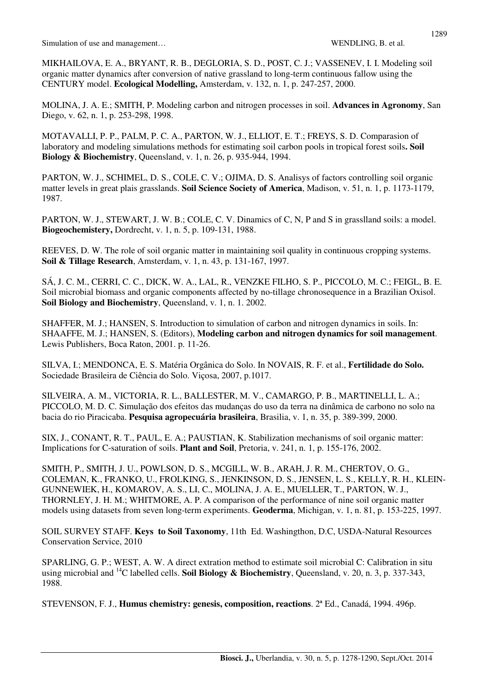MIKHAILOVA, E. A., BRYANT, R. B., DEGLORIA, S. D., POST, C. J.; VASSENEV, I. I. Modeling soil organic matter dynamics after conversion of native grassland to long-term continuous fallow using the CENTURY model. **Ecological Modelling,** Amsterdam, v. 132, n. 1, p. 247-257, 2000.

MOLINA, J. A. E.; SMITH, P. Modeling carbon and nitrogen processes in soil. **Advances in Agronomy**, San Diego, v. 62, n. 1, p. 253-298, 1998.

MOTAVALLI, P. P., PALM, P. C. A., PARTON, W. J., ELLIOT, E. T.; FREYS, S. D. Comparasion of laboratory and modeling simulations methods for estimating soil carbon pools in tropical forest soils**. Soil Biology & Biochemistry**, Queensland, v. 1, n. 26, p. 935-944, 1994.

PARTON, W. J., SCHIMEL, D. S., COLE, C. V.; OJIMA, D. S. Analisys of factors controlling soil organic matter levels in great plais grasslands. **Soil Science Society of America**, Madison, v. 51, n. 1, p. 1173-1179, 1987.

PARTON, W. J., STEWART, J. W. B.; COLE, C. V. Dinamics of C, N, P and S in grasslland soils: a model. **Biogeochemistery,** Dordrecht, v. 1, n. 5, p. 109-131, 1988.

REEVES, D. W. The role of soil organic matter in maintaining soil quality in continuous cropping systems. **Soil & Tillage Research**, Amsterdam, v. 1, n. 43, p. 131-167, 1997.

SÁ, J. C. M., CERRI, C. C., DICK, W. A., LAL, R., VENZKE FILHO, S. P., PICCOLO, M. C.; FEIGL, B. E. Soil microbial biomass and organic components affected by no-tillage chronosequence in a Brazilian Oxisol. **Soil Biology and Biochemistry**, Queensland, v. 1, n. 1. 2002.

SHAFFER, M. J.; HANSEN, S. Introduction to simulation of carbon and nitrogen dynamics in soils. In: SHAAFFE, M. J.; HANSEN, S. (Editors), **Modeling carbon and nitrogen dynamics for soil management**. Lewis Publishers, Boca Raton, 2001. p. 11-26.

SILVA, I.; MENDONCA, E. S. Matéria Orgânica do Solo. In NOVAIS, R. F. et al., **Fertilidade do Solo.**  Sociedade Brasileira de Ciência do Solo. Viçosa, 2007, p.1017.

SILVEIRA, A. M., VICTORIA, R. L., BALLESTER, M. V., CAMARGO, P. B., MARTINELLI, L. A.; PICCOLO, M. D. C. Simulação dos efeitos das mudanças do uso da terra na dinâmica de carbono no solo na bacia do rio Piracicaba. **Pesquisa agropecuária brasileira**, Brasilia, v. 1, n. 35, p. 389-399, 2000.

SIX, J., CONANT, R. T., PAUL, E. A.; PAUSTIAN, K. Stabilization mechanisms of soil organic matter: Implications for C-saturation of soils. **Plant and Soil**, Pretoria, v. 241, n. 1, p. 155-176, 2002.

SMITH, P., SMITH, J. U., POWLSON, D. S., MCGILL, W. B., ARAH, J. R. M., CHERTOV, O. G., COLEMAN, K., FRANKO, U., FROLKING, S., JENKINSON, D. S., JENSEN, L. S., KELLY, R. H., KLEIN-GUNNEWIEK, H., KOMAROV, A. S., LI, C., MOLINA, J. A. E., MUELLER, T., PARTON, W. J., THORNLEY, J. H. M.; WHITMORE, A. P. A comparison of the performance of nine soil organic matter models using datasets from seven long-term experiments. **Geoderma**, Michigan, v. 1, n. 81, p. 153-225, 1997.

SOIL SURVEY STAFF. **Keys to Soil Taxonomy**, 11th Ed. Washingthon, D.C, USDA-Natural Resources Conservation Service, 2010

SPARLING, G. P.; WEST, A. W. A direct extration method to estimate soil microbial C: Calibration in situ using microbial and <sup>14</sup>C labelled cells. **Soil Biology & Biochemistry**, Queensland, v. 20, n. 3, p. 337-343, 1988.

STEVENSON, F. J., **Humus chemistry: genesis, composition, reactions**. 2ª Ed., Canadá, 1994. 496p.